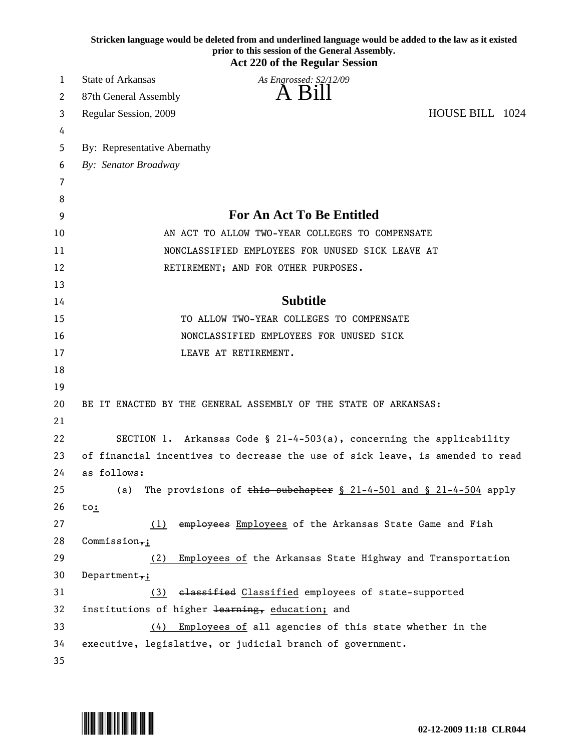|          | Stricken language would be deleted from and underlined language would be added to the law as it existed<br>prior to this session of the General Assembly.<br><b>Act 220 of the Regular Session</b> |
|----------|----------------------------------------------------------------------------------------------------------------------------------------------------------------------------------------------------|
| 1        | <b>State of Arkansas</b><br>As Engrossed: S2/12/09                                                                                                                                                 |
| 2        | A Bill<br>87th General Assembly                                                                                                                                                                    |
| 3        | HOUSE BILL 1024<br>Regular Session, 2009                                                                                                                                                           |
| 4        |                                                                                                                                                                                                    |
| 5        | By: Representative Abernathy                                                                                                                                                                       |
| 6        | By: Senator Broadway                                                                                                                                                                               |
| 7        |                                                                                                                                                                                                    |
| 8        |                                                                                                                                                                                                    |
| 9        | <b>For An Act To Be Entitled</b>                                                                                                                                                                   |
| 10       | AN ACT TO ALLOW TWO-YEAR COLLEGES TO COMPENSATE                                                                                                                                                    |
| 11       | NONCLASSIFIED EMPLOYEES FOR UNUSED SICK LEAVE AT                                                                                                                                                   |
| 12       | RETIREMENT; AND FOR OTHER PURPOSES.                                                                                                                                                                |
| 13       |                                                                                                                                                                                                    |
| 14       | <b>Subtitle</b>                                                                                                                                                                                    |
| 15       | TO ALLOW TWO-YEAR COLLEGES TO COMPENSATE                                                                                                                                                           |
| 16       | NONCLASSIFIED EMPLOYEES FOR UNUSED SICK                                                                                                                                                            |
| 17       | LEAVE AT RETIREMENT.                                                                                                                                                                               |
| 18       |                                                                                                                                                                                                    |
| 19       |                                                                                                                                                                                                    |
| 20       | BE IT ENACTED BY THE GENERAL ASSEMBLY OF THE STATE OF ARKANSAS:                                                                                                                                    |
| 21       |                                                                                                                                                                                                    |
| 22       | SECTION 1. Arkansas Code § 21-4-503(a), concerning the applicability                                                                                                                               |
| 23       | of financial incentives to decrease the use of sick leave, is amended to read                                                                                                                      |
| 24       | as follows:                                                                                                                                                                                        |
| 25       | The provisions of this subchapter $\S$ 21-4-501 and $\S$ 21-4-504 apply<br>(a)                                                                                                                     |
| 26       | to:                                                                                                                                                                                                |
| 27       | (1) employees Employees of the Arkansas State Game and Fish                                                                                                                                        |
| 28       | Commission <sub>7</sub> ;                                                                                                                                                                          |
| 29       | (2)<br>Employees of the Arkansas State Highway and Transportation                                                                                                                                  |
| 30<br>31 | Department,;<br>elassified Classified employees of state-supported<br>(3)                                                                                                                          |
| 32       |                                                                                                                                                                                                    |
| 33       | institutions of higher learning, education; and<br>Employees of all agencies of this state whether in the<br>(4)                                                                                   |
| 34       | executive, legislative, or judicial branch of government.                                                                                                                                          |
|          |                                                                                                                                                                                                    |